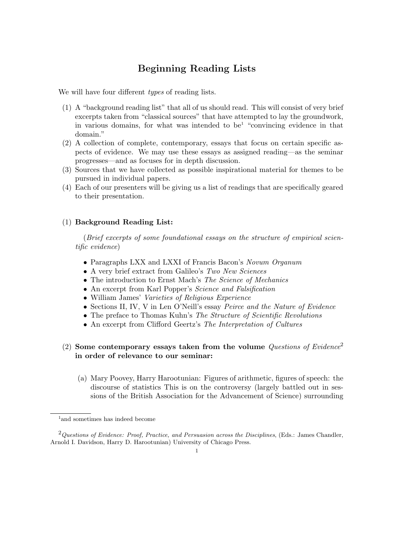## Beginning Reading Lists

We will have four different *types* of reading lists.

- (1) A "background reading list" that all of us should read. This will consist of very brief excerpts taken from "classical sources" that have attempted to lay the groundwork, in various domains, for what was intended to be<sup>1</sup> "convincing evidence in that domain."
- (2) A collection of complete, contemporary, essays that focus on certain specific aspects of evidence. We may use these essays as assigned reading—as the seminar progresses—and as focuses for in depth discussion.
- (3) Sources that we have collected as possible inspirational material for themes to be pursued in individual papers.
- (4) Each of our presenters will be giving us a list of readings that are specifically geared to their presentation.

## (1) Background Reading List:

(Brief excerpts of some foundational essays on the structure of empirical scientific evidence)

- Paragraphs LXX and LXXI of Francis Bacon's Novum Organum
- A very brief extract from Galileo's Two New Sciences
- The introduction to Ernst Mach's The Science of Mechanics
- An excerpt from Karl Popper's *Science and Falsification*
- William James' Varieties of Religious Experience
- Sections II, IV, V in Len O'Neill's essay Peirce and the Nature of Evidence
- The preface to Thomas Kuhn's The Structure of Scientific Revolutions
- An excerpt from Clifford Geertz's The Interpretation of Cultures

## (2) Some contemporary essays taken from the volume Questions of Evidence<sup>2</sup> in order of relevance to our seminar:

(a) Mary Poovey, Harry Harootunian: Figures of arithmetic, figures of speech: the discourse of statistics This is on the controversy (largely battled out in sessions of the British Association for the Advancement of Science) surrounding

<sup>&</sup>lt;sup>1</sup> and sometimes has indeed become

 $2$ Questions of Evidence: Proof, Practice, and Persuasion across the Disciplines, (Eds.: James Chandler, Arnold I. Davidson, Harry D. Harootunian) University of Chicago Press.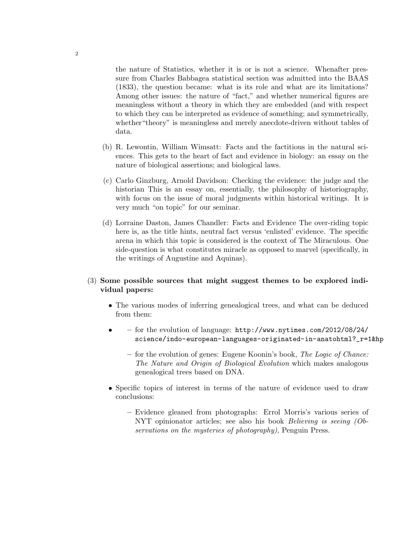the nature of Statistics, whether it is or is not a science. Whenafter pressure from Charles Babbagea statistical section was admitted into the BAAS (1833), the question became: what is its role and what are its limitations? Among other issues: the nature of "fact," and whether numerical figures are meaningless without a theory in which they are embedded (and with respect to which they can be interpreted as evidence of something; and symmetrically, whether"theory" is meaningless and merely anecdote-driven without tables of data.

- (b) R. Lewontin, William Wimsatt: Facts and the factitious in the natural sciences. This gets to the heart of fact and evidence in biology: an essay on the nature of biological assertions; and biological laws.
- (c) Carlo Ginzburg, Arnold Davidson: Checking the evidence: the judge and the historian This is an essay on, essentially, the philosophy of historiography, with focus on the issue of moral judgments within historical writings. It is very much "on topic" for our seminar.
- (d) Lorraine Daston, James Chandler: Facts and Evidence The over-riding topic here is, as the title hints, neutral fact versus 'enlisted' evidence. The specific arena in which this topic is considered is the context of The Miraculous. One side-question is what constitutes miracle as opposed to marvel (specifically, in the writings of Augustine and Aquinas).

## (3) Some possible sources that might suggest themes to be explored individual papers:

- The various modes of inferring genealogical trees, and what can be deduced from them:
- – for the evolution of language: http://www.nytimes.com/2012/08/24/ science/indo-european-languages-originated-in-anatohtml?\_r=1&hp
	- for the evolution of genes: Eugene Koonin's book, The Logic of Chance: The Nature and Origin of Biological Evolution which makes analogous genealogical trees based on DNA.
- Specific topics of interest in terms of the nature of evidence used to draw conclusions:
	- Evidence gleaned from photographs: Errol Morris's various series of NYT opinionator articles; see also his book Believing is seeing (Observations on the mysteries of photography), Penguin Press.